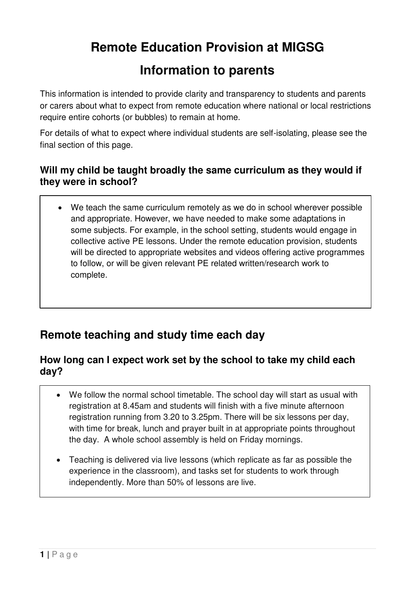# **Remote Education Provision at MIGSG**

# **Information to parents**

This information is intended to provide clarity and transparency to students and parents or carers about what to expect from remote education where national or local restrictions require entire cohorts (or bubbles) to remain at home.

For details of what to expect where individual students are self-isolating, please see the final section of this page.

## **Will my child be taught broadly the same curriculum as they would if they were in school?**

 We teach the same curriculum remotely as we do in school wherever possible and appropriate. However, we have needed to make some adaptations in some subjects. For example, in the school setting, students would engage in collective active PE lessons. Under the remote education provision, students will be directed to appropriate websites and videos offering active programmes to follow, or will be given relevant PE related written/research work to complete.

# **Remote teaching and study time each day**

#### **How long can I expect work set by the school to take my child each day?**

- We follow the normal school timetable. The school day will start as usual with registration at 8.45am and students will finish with a five minute afternoon registration running from 3.20 to 3.25pm. There will be six lessons per day, with time for break, lunch and prayer built in at appropriate points throughout the day. A whole school assembly is held on Friday mornings.
- Teaching is delivered via live lessons (which replicate as far as possible the experience in the classroom), and tasks set for students to work through independently. More than 50% of lessons are live.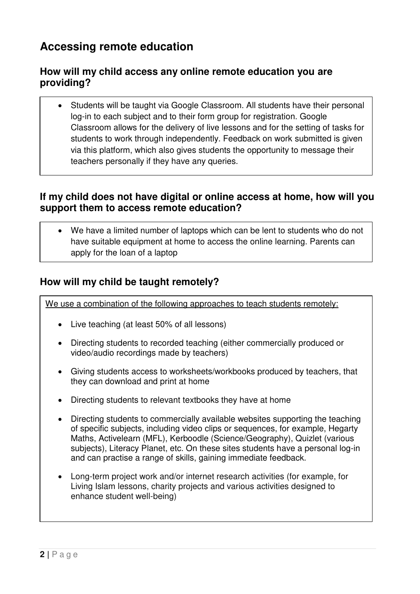# **Accessing remote education**

## **How will my child access any online remote education you are providing?**

 Students will be taught via Google Classroom. All students have their personal log-in to each subject and to their form group for registration. Google Classroom allows for the delivery of live lessons and for the setting of tasks for students to work through independently. Feedback on work submitted is given via this platform, which also gives students the opportunity to message their teachers personally if they have any queries.

## **If my child does not have digital or online access at home, how will you support them to access remote education?**

 We have a limited number of laptops which can be lent to students who do not have suitable equipment at home to access the online learning. Parents can apply for the loan of a laptop

## **How will my child be taught remotely?**

We use a combination of the following approaches to teach students remotely:

- Live teaching (at least 50% of all lessons)
- Directing students to recorded teaching (either commercially produced or video/audio recordings made by teachers)
- Giving students access to worksheets/workbooks produced by teachers, that they can download and print at home
- Directing students to relevant textbooks they have at home
- Directing students to commercially available websites supporting the teaching of specific subjects, including video clips or sequences, for example, Hegarty Maths, Activelearn (MFL), Kerboodle (Science/Geography), Quizlet (various subjects), Literacy Planet, etc. On these sites students have a personal log-in and can practise a range of skills, gaining immediate feedback.
- Long-term project work and/or internet research activities (for example, for Living Islam lessons, charity projects and various activities designed to enhance student well-being)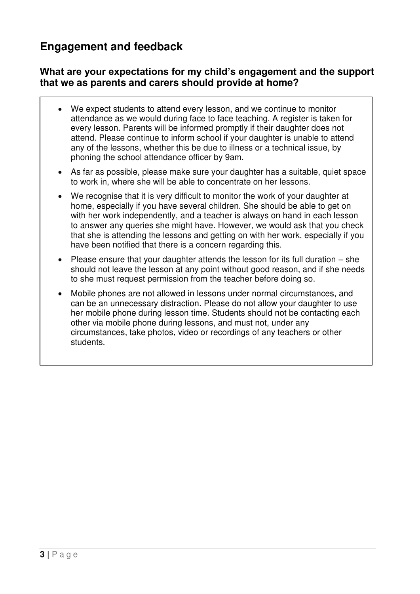# **Engagement and feedback**

#### **What are your expectations for my child's engagement and the support that we as parents and carers should provide at home?**

- We expect students to attend every lesson, and we continue to monitor attendance as we would during face to face teaching. A register is taken for every lesson. Parents will be informed promptly if their daughter does not attend. Please continue to inform school if your daughter is unable to attend any of the lessons, whether this be due to illness or a technical issue, by phoning the school attendance officer by 9am.
- As far as possible, please make sure your daughter has a suitable, quiet space to work in, where she will be able to concentrate on her lessons.
- We recognise that it is very difficult to monitor the work of your daughter at home, especially if you have several children. She should be able to get on with her work independently, and a teacher is always on hand in each lesson to answer any queries she might have. However, we would ask that you check that she is attending the lessons and getting on with her work, especially if you have been notified that there is a concern regarding this.
- Please ensure that your daughter attends the lesson for its full duration she should not leave the lesson at any point without good reason, and if she needs to she must request permission from the teacher before doing so.
- Mobile phones are not allowed in lessons under normal circumstances, and can be an unnecessary distraction. Please do not allow your daughter to use her mobile phone during lesson time. Students should not be contacting each other via mobile phone during lessons, and must not, under any circumstances, take photos, video or recordings of any teachers or other students.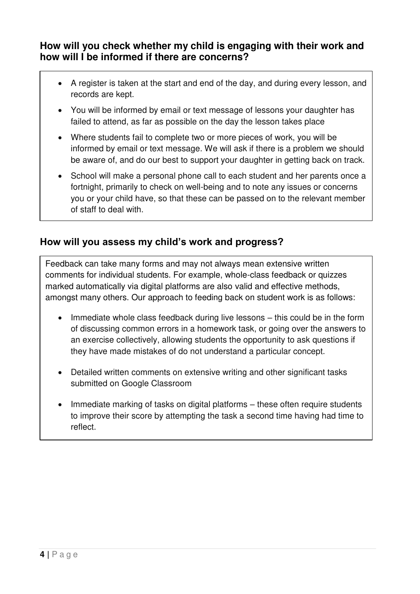### **How will you check whether my child is engaging with their work and how will I be informed if there are concerns?**

- A register is taken at the start and end of the day, and during every lesson, and records are kept.
- You will be informed by email or text message of lessons your daughter has failed to attend, as far as possible on the day the lesson takes place
- Where students fail to complete two or more pieces of work, you will be informed by email or text message. We will ask if there is a problem we should be aware of, and do our best to support your daughter in getting back on track.
- School will make a personal phone call to each student and her parents once a fortnight, primarily to check on well-being and to note any issues or concerns you or your child have, so that these can be passed on to the relevant member of staff to deal with.

## **How will you assess my child's work and progress?**

Feedback can take many forms and may not always mean extensive written comments for individual students. For example, whole-class feedback or quizzes marked automatically via digital platforms are also valid and effective methods, amongst many others. Our approach to feeding back on student work is as follows:

- Immediate whole class feedback during live lessons this could be in the form of discussing common errors in a homework task, or going over the answers to an exercise collectively, allowing students the opportunity to ask questions if they have made mistakes of do not understand a particular concept.
- Detailed written comments on extensive writing and other significant tasks submitted on Google Classroom
- Immediate marking of tasks on digital platforms these often require students to improve their score by attempting the task a second time having had time to reflect.